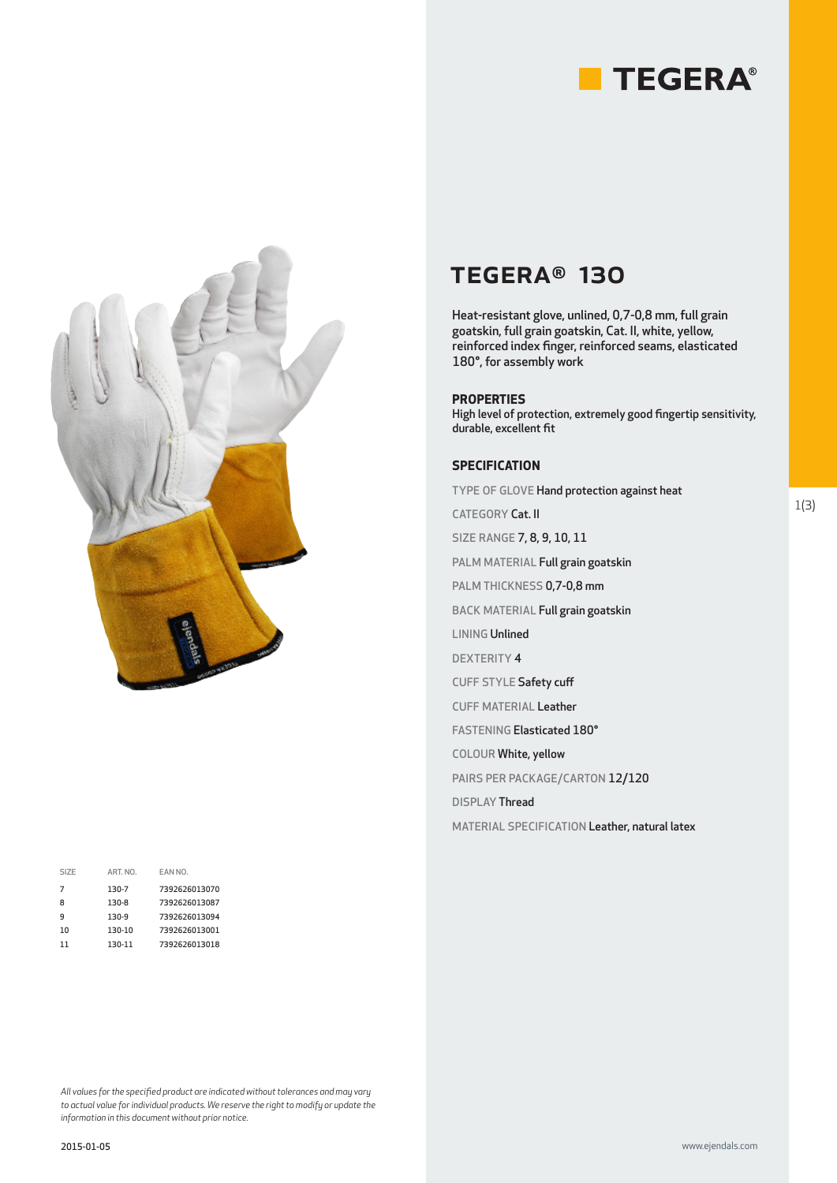



| SIZE | ART. NO. | EAN NO.       |
|------|----------|---------------|
| 7    | 130-7    | 7392626013070 |
| 8    | 130-8    | 7392626013087 |
| q    | 130-9    | 7392626013094 |
| 10   | 130-10   | 7392626013001 |
| 11   | 130-11   | 7392626013018 |
|      |          |               |

## TEGERA® 130

Heat-resistant glove, unlined, 0,7-0,8 mm, full grain goatskin, full grain goatskin, Cat. II, white, yellow, reinforced index finger, reinforced seams, elasticated 180°, for assembly work

### **PROPERTIES**

High level of protection, extremely good fingertip sensitivity, durable, excellent fit

## **SPECIFICATION**

TYPE OF GLOVE Hand protection against heat

CATEGORY Cat. II

SIZE RANGE 7, 8, 9, 10, 11

PALM MATERIAL Full grain goatskin

PALM THICKNESS 0,7-0,8 mm

BACK MATERIAL Full grain goatskin

LINING Unlined

DEXTERITY 4

CUFF STYLE Safety cuff

CUFF MATERIAL Leather

FASTENING Elasticated 180°

COLOUR White, yellow

PAIRS PER PACKAGE/CARTON 12/120

DISPLAY Thread

MATERIAL SPECIFICATION Leather, natural latex

*All values for the specified product are indicated without tolerances and may vary to actual value for individual products. We reserve the right to modify or update the information in this document without prior notice.*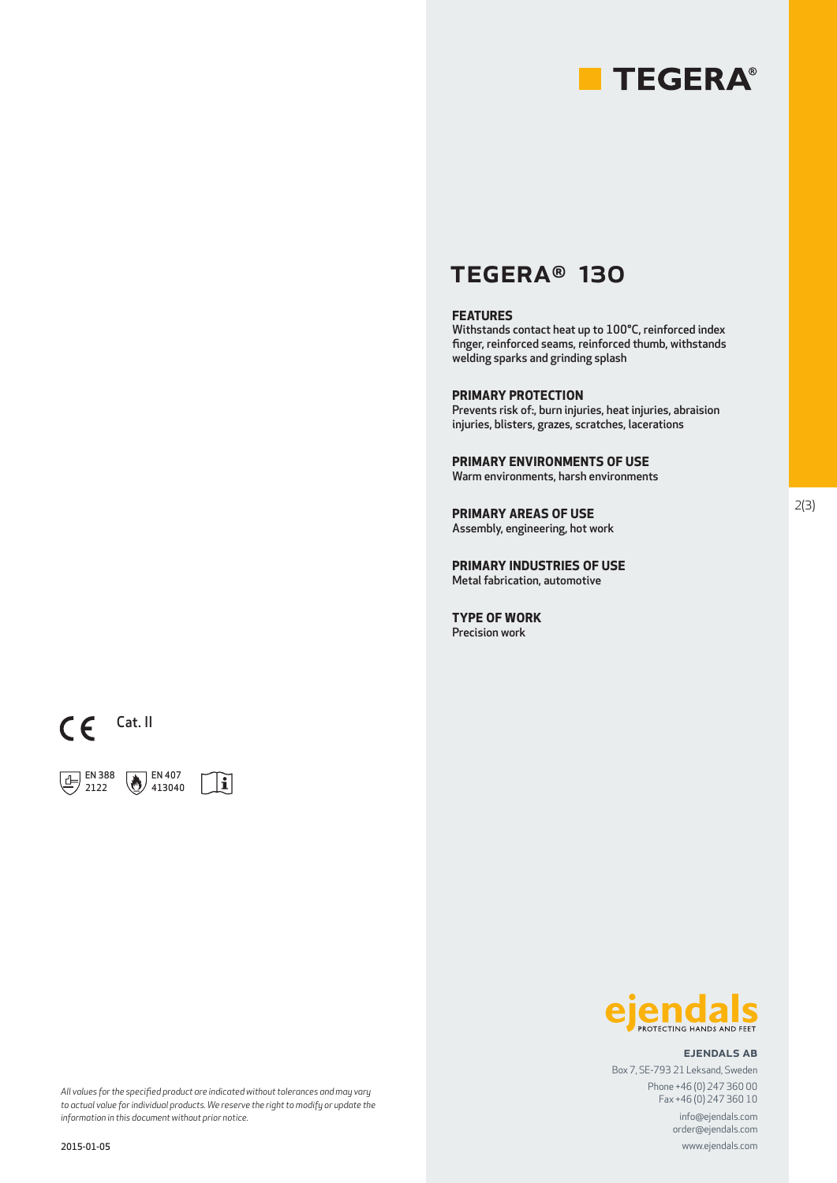

## TEGERA® 130

### **FEATURES**

Withstands contact heat up to 100°C, reinforced index finger, reinforced seams, reinforced thumb, withstands welding sparks and grinding splash

## **PRIMARY PROTECTION**

Prevents risk of:, burn injuries, heat injuries, abraision injuries, blisters, grazes, scratches, lacerations

**PRIMARY ENVIRONMENTS OF USE** Warm environments, harsh environments

**PRIMARY AREAS OF USE** Assembly, engineering, hot work

**PRIMARY INDUSTRIES OF USE** Metal fabrication, automotive

**TYPE OF WORK** Precision work



 EN 388 2122

2015-01-05





#### ejendals ab

www.ejendals.com

order@ejendals.com

Box 7, SE-793 21 Leksand, Sweden Phone +46 (0) 247 360 00 Fax +46 (0) 247 360 10 info@ejendals.com

*All values for the specified product are indicated without tolerances and may vary to actual value for individual products. We reserve the right to modify or update the information in this document without prior notice.*

2(3)